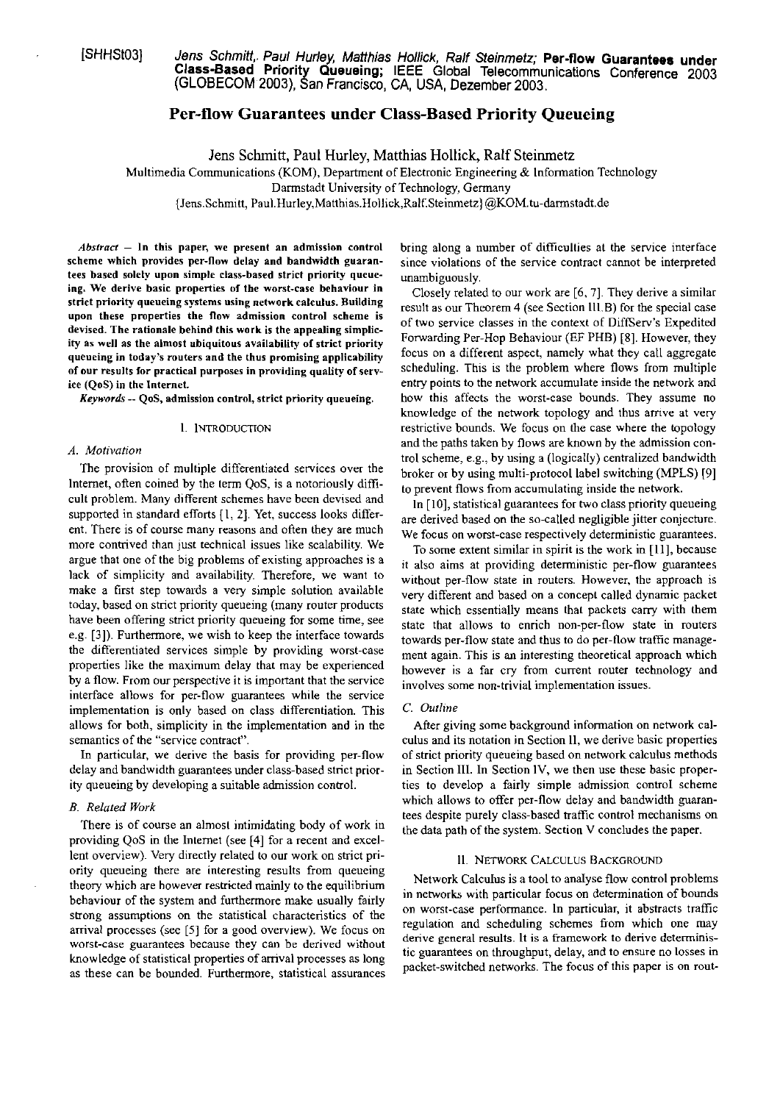[SHHSt03] Jens Schmitt, Paul Hurley, Matthias Hollick, Ralf Steinmetz; Per-flow Guarantees under **Class-Based Priority Queueing; IEEE Global Telecommunications Conference 2003 (GLOBECOM** 2003), an **Francisco, CA,** USA, **Dezember** 2003.

# **Per-flow Guarantees under Class-Based Priority Queueing**

Jens Schmitt, Paul Hurley, Matthias Hollick, Ralf Steinmetz

Multimedia Communications (KOM), Department of Electronic Engineering & Information Technology

Darmstadt University of Technology, Germany

{Jens.Schmitt, **Paul.Hurley,Matthias.Hollick,Ralf.Steinmetz)** aK0M.h-darmstadt.de

 $Abstract - In this paper, we present an admission control$ scheme which provides per-llow delay and bandwidth guarantees based solely upon simple class-based strict priority queueing. We derive basic properties of the worst-case behaviour in strict priority queueing systems using network calculus. Building upon these properties the flow admission control scheme is devised. The rationale behind this work is the appealing simplicity as well as the almost ubiquitous availability **of** strict priority queueing in today's routers and the thus promising applicability of nur results **for** practical purposes in providing quality of service (QoS) in the Internet.

*Keywords* -- QoS, admission control, strict priority queueing.

### I. INTRODUCTION

## *A. Motivalion*

The provision of multiple differentiated services over the Internet, often coined by the term QoS, is a notoriously difficult problem. Many different schemes have been devised and supported in standard efforts [I, 21. Yet, success looks different. There is of course many reasons and often they are much more contrived than just technical issues like scalability. We argue that one of the big problems of existing approaches is a lack of simplicity and availability. Therefore, we Want to make a first step towards a very simple solution available today, based on strict priority queueing (many router products have been offering strict priority queueing for some time, see e.g. [3]) Furthermore, we wish to keep the interface towards the differentiated services simple by providing worst-case properties like the maximum delay that may be experienced by a flow. From our perspective it is important that the service interface allows for per-flow guarantees while the service implementation is only based on class differentiation. This allows for both, simplicity in the implementation and in the semantics of the "service contract".

In particular, we derive the basis for providing per-flow delay and bandwidth guarantees under class-based strict priority queueing by developing a suitable admission control.

providing QoS in the Internet (see [4] for a recent and excellent overview). Very directly related to our work on strict pri- 11. NETWORK CALCULUS BACKGROUND ority queueing there are interesting results from queueing theory which are however restricted mainly to the equilibrium Network Calculus is a tool to analyse flow control problems behaviour of the system and furthermore make usually fairly in networks with particular focus on determination of bounds<br>behaviour of the system and furthermore make usually fairly on worst-case performance. In particular, strong assumptions on the statistical characteristics of the on worst-case performance. In particular, it abstracts trained and scheduling schemes from which one may arrival processes (see [5] for a good overview). We focus on regulation and scheduling schemes from which one may<br>were also constant as a framework to derive determinisworst-case guarantees because they can be derived without<br>knowledge of statistical properties of arrival processes as long<br>acket-switched networks. The focus of this paper is on rout-<br>as those can be bounded. Eurthermore, as these can be bounded. Furthermore, statistical assurances

bring along a number of difficulties at the service interface since violations of the service contract cannot be interpreted unambiguously.

Closely related to our work are [6, 7]. They derive a similar result as our Theorem 4 (see Section 111.8) for the special case of two service classes in the context of DiffServ's Expedited Fonvarding Per-Hop Behaviour (EF PHB) **[8].** However, they focus on a different aspect, namely what they call aggregate scheduling. This is the problem where flows from multiple entry points to the network accumulate inside the network and how this affects the worst-case bounds. They assume no knowledge of the network topology and thus arrive at very restrictive bounds. We focus on the case where the topology and the paths taken by flows are known by the admission control scheme, e.g., by using a (logically) centralized bandwidth broker or by using multi-protocol label switching (MPLS) 191 to prevent flows from accumulating inside the network.

In  $[10]$ , statistical guarantees for two class priority queueing are derived based on the so-called negligible jitter conjecture. We focus on worst-case respectively deterministic guarantees.

To some extent similar in spirit is the work in [II], because it also aims at providing deterministic per-flow guarantees without per-flow state in routers. However, the approach is very different and based on a concept called dynamic packet state which essentially means that packets cany with them state that allows to enrich non-per-flow state in routers towards per-flow state and thus to do per-flow traffic management again. This is an interesting theoretical approach which however is a far cry from current router technology and involves some non-trivial implementation issues.

### C *Ouiline*

After giving some background information on network calculus and its notation in Section 11, we derive basic properties of strict priority queueing based on network calculus methods in Section 111. In Section IV, we then use these basic properties to develop a fairly simple adrnission control scheme B. Related Work<br>There is of course an almost intimidating body of work in<br>the data path of the system. Section V concludes the paper.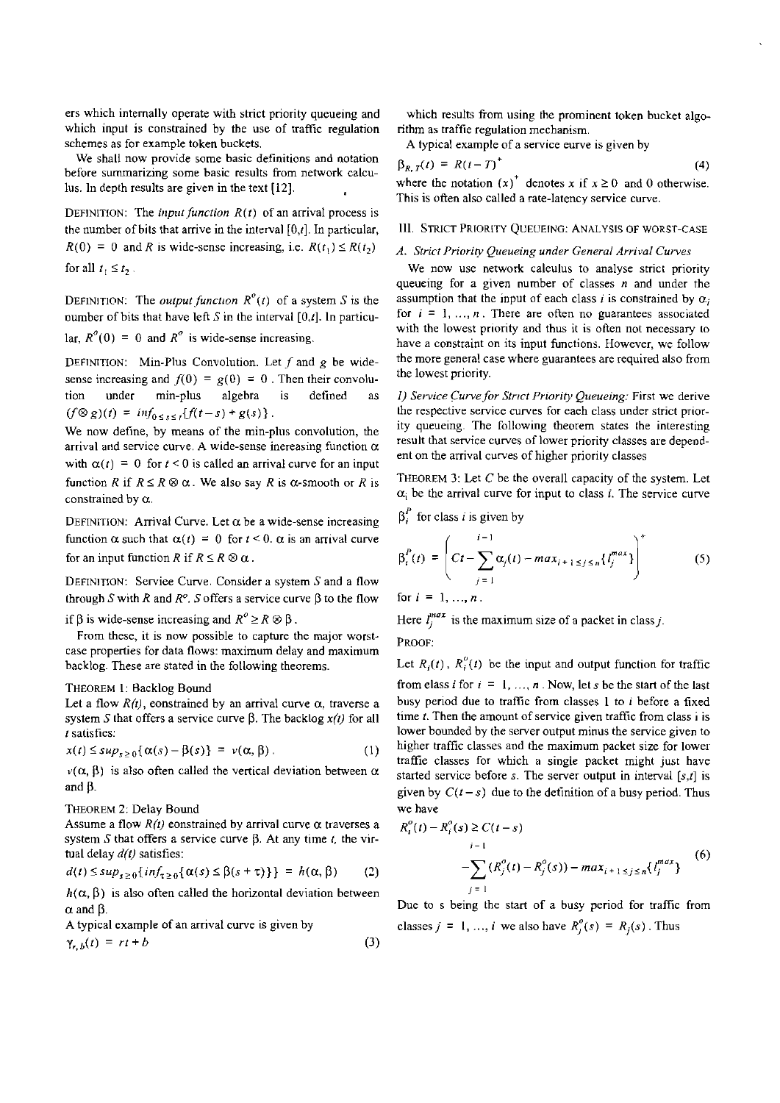ers which internally operate with strict priority queueing and which input is constrained by the use of traffic regulation schemes as for example token buckets.

We shall now provide sorne basic definitions and notation before summarizing sorne basic results from network calculus. In depth results are given in the text [12].

DEFINITION: The *input function*  $R(t)$  of an arrival process is the number of bits that arrive in the interval  $[0,t]$ . In particular,  $R(0) = 0$  and R is wide-sense increasing, i.e.  $R(t_1) \leq R(t_2)$ for all  $t_1 \leq t_2$ .

DEFINITION: The *output function*  $R^{\circ}(t)$  of a system *S* is the number of bits that have left *S* in the interval [0,t]. In particu-

lar,  $R^{o}(0) = 0$  and  $R^{o}$  is wide-sense increasing.

DEFINITION: Min-Plus Convolution. Let *f* and *g* he widesense increasing and  $f(0) = g(0) = 0$ . Then their convolution under min-plus algehra is defined as  $(f \otimes g)(t) = inf_{0 \leq s \leq t} {f(t-s) + g(s)}.$ 

We now define, by means of the min-plus convolution, the arrival and service curve. A wide-sense inereasing function *a*  with  $\alpha(t) = 0$  for  $t < 0$  is called an arrival curve for an input function *R* if  $R \le R \otimes \alpha$ . We also say *R* is  $\alpha$ -smooth or *R* is constrained by *a.* 

DEFINITION: Arrival Curve. Let  $\alpha$  be a wide-sense increasing function  $\alpha$  such that  $\alpha(t) = 0$  for  $t < 0$ .  $\alpha$  is an arrival curve for an input function *R* if  $R \le R \otimes \alpha$ .

DEFINITION: Serviee Curve. Consider a systern *S* and a flow through *S* with *R* and  $R^o$ . *S* offers a service curve  $\beta$  to the flow

if  $\beta$  is wide-sense increasing and  $R^{\circ} \ge R \otimes \beta$ .

From these, it is now possible to captnre the major worstcase properties for data flows: maximum delay and maximum backlog. These are stated in the following theorems.

# THEOREM 1: Backlog Bound

Let a flow  $R(t)$ , constrained by an arrival curve  $\alpha$ , traverse a system *S* that offers a service curve  $\beta$ . The backlog  $x(t)$  for all *<sup>I</sup>*satisfies:

$$
x(t) \le \sup_{s \ge 0} {\alpha(s) - \beta(s)} = v(\alpha, \beta).
$$
 (1)

 $\nu(\alpha, \beta)$  is also often called the vertical deviation between  $\alpha$ and ß.

## THEOREM 2: Delay Bound

Assume a flow  $R(t)$  constrained by arrival curve  $\alpha$  traverses a system *S* that offers a service curve ß. At any time *1.* the virtual delay  $d(t)$  satisfies:

$$
d(t) \leq sup_{s\geq 0} \{inf_{\tau\geq 0} \{ \alpha(s) \leq \beta(s+\tau) \} \} = h(\alpha, \beta) \qquad (2)
$$

 $h(\alpha, \beta)$  is also often called the horizontal deviation between  $\alpha$  and  $\beta$ .

A typical example of an arrival curve is given hy

$$
\gamma_{r,b}(t) = rt + b \tag{3}
$$

which results from using the prominent token bucket algorithm as traffie regulation mechanism.

A iypical exarnple of a service eurve is given by

$$
\beta_{R,T}(t) = R(t-T)^{+}
$$
\n(4)  
\nwhere the notation  $(x)^{+}$  denotes x if  $x \ge 0$  and 0 otherwise

where the notation  $(x)$  denotes x if  $x \ge 0$  and 0 otherwise. This is often also called a rate-latency service curve.

# 111. STRICT PRlORlTY QUEUEING: ANALYSIS OF WORST-CASE

## A. Strict Priority Queueing under General Arrival Curves

We now use network caleulus to analyse strict priority queueing for a given nurnber of classes **n** and under the assumption that the input of each class *i* is constrained by  $\alpha_i$ for  $i = 1, ..., n$ . There are often no guarantees associated with the lowest priority and thus it is often not necessary to have a constraint on its input functions. However, we follow the rnore general case where guarantees are required also from the lowest priority.

*I) Service Curve for Strict Priority Queueing: First we derive* the respective service curves for eaeh class under strict priority queueing. The following theorem states the interesting result hat service curves of lower priority classes are dependent on the arrival curves of higher priority classes

THEOREM 3: Let *C* be the overall capacity of the system. Let  $\alpha_i$  be the arrival curve for input to class *i*. The service curve

$$
\beta_i^P
$$
 for class *i* is given by

$$
\beta_i^P(t) = \left( Ct - \sum_{j=1}^{i-1} \alpha_j(t) - max_{i+1 \le j \le n} \{l_j^{max}\}\right)^{+}
$$
 (5)

for  $i = 1, ..., n$ .

Here  $l_i^{max}$  is the maximum size of a packet in class *j*.

PROOF:

Let  $R_i(t)$ ,  $R_i^0(t)$  be the input and output function for traffic from elass *i* for  $i = 1, ..., n$ . Now, let *s* be the start of the last busy period due to traffic from classes 1 to *i* before a fixed time *I.* Then the amount of service given traffic from class i is lower bounded by the server output minus the service given to higher traffic classes and the maximum packet size for lower traffie classes for which a single packet might just have started servicc before *s.* Tbe server output in interval *[s,t]* is given by  $C(t-s)$  due to the detinition of a busy period. Thus we have

$$
R_i^o(t) - R_i^o(s) \ge C(t - s)
$$
  
\n
$$
I = 1
$$
\n
$$
- \sum_{j=1}^{\infty} (R_j^o(t) - R_j^o(s)) - max_{i+1 \le j \le n} \{l_j^{max}\}
$$
\n(6)

Due to s being the start of a busy period for traffic from classes  $j = 1, ..., i$  we also have  $R_i^o(s) = R_i(s)$ . Thus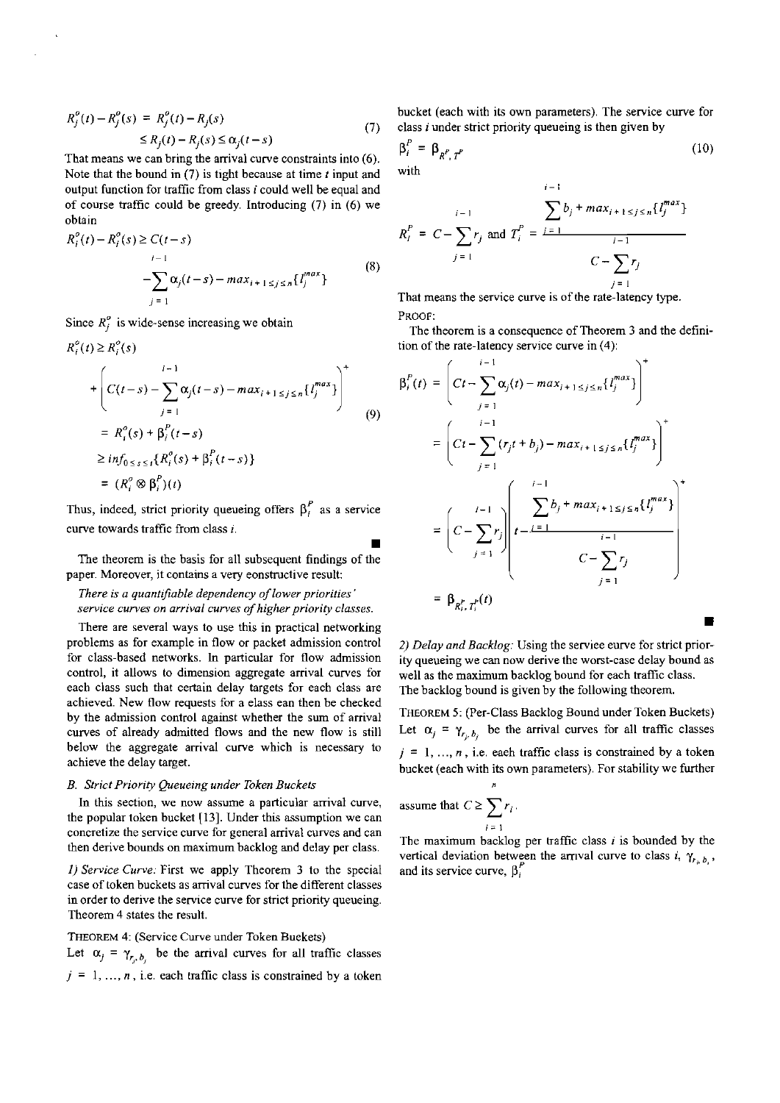$$
R_j^o(t) - R_j^o(s) = R_j^o(t) - R_j(s)
$$
  
\n
$$
\le R_j(t) - R_j(s) \le \alpha_j(t - s)
$$
\n(7)

Tbat means we can bring the arrival curve constraints into (6). Note that the bound in  $(7)$  is tight because at time t input and output function for traffic from class **i** could well be equal and of course traffic could be greedy. Introducing  $(7)$  in  $(6)$  we obtain

$$
R_i^o(t) - R_i^o(s) \ge C(t - s)
$$
  
- 
$$
\sum_{j=1}^{i-1} \alpha_j(t - s) - \max_{i+1 \le j \le n} \{t_j^{max}\}
$$
 (8)

Since  $R_i^o$  is wide-sense increasing we obtain

$$
R_i^o(t) \ge R_i^o(s)
$$
  
+ 
$$
\left(C(t-s) - \sum_{j=1}^{i-1} \alpha_j(t-s) - max_{i+1 \le j \le n} \{l_j^{max}\}\right)^+
$$
  
= 
$$
R_i^o(s) + \beta_i^p(t-s)
$$
  

$$
\ge inf_{0 \le s \le t} \{R_i^o(s) + \beta_i^p(t-s)\}
$$
  
= 
$$
(R_i^o \otimes \beta_i^p)(t)
$$
 (9)

Thus, indeed, strict priority queueing offers  $\beta_i^P$  as a service curve towards trafflc from class i.

The theorem is the basis for all subsequent findings of the paper. Moreover, it contains a very eonstructive result:

There is a quantifiable dependency of lower priorities' service curves on arrival curves of higher priority classes.

There are several ways to use this in practical networking problems as for example in flow or packet admission control for class-based networks. In particular for flow admission control, it allows to dimension aggregate arrival curves for each class such that certain delay targets for each class are achieved. New flow requests for a elass ean then be checked by the admission control against whether the sum of arrival curves of already admitted flows and the new flow is still below the aggregate arrival curve which is necessary to achieve the delay target.

## B. Strict Priority Queueing under Token Buckets

In this section, we now assume a particular arrival curve, the popular token bucket [13]. Under this assumption we can concretize the service curve for general arrival curves and can then derive bounds on maximum backlog and delay per class.

1) Service Curve: First we apply Theorem 3 to the special case of token buckets as arrival curves for the different classes in order to derive the service curve for strict priority queueing. Theorem 4 states the result.

THEOREM 4: (Service Curve under Token Buekets) Let  $\alpha_j = \gamma_{r_i, b_j}$  be the arrival curves for all traffic classes  $j = 1, ..., n$ , i.e. each traffic class is constrained by a token bucket (each with its own parameters). The service curve for class i under strict priority queueing is then given by

$$
\beta_i^P = \beta_{R',T'} \tag{10}
$$
 with

 $i-1$ 

$$
f_{\rm{max}}
$$

$$
R_i^P = C - \sum_{j=1}^{i-1} r_j \text{ and } T_i^P = \frac{\sum_{j=1}^{i-1} b_j + \max_{i+1 \le j \le n} \{l_j^{\text{max}}\}}{C - \sum_{j=1}^{i-1} r_j}
$$

That means the service curve is of the rate-latency type. PROOF:

The theorem is a consequence of Theorem 3 and the definition of the rate-latency service curve in (4):

$$
P_{i}(t) = \left(Ct - \sum_{j=1}^{i-1} \alpha_{j}(t) - max_{i+1 \leq j \leq n} \{I_{j}^{max}\}\right)^{+}
$$
  
\n
$$
= \left(Ct - \sum_{j=1}^{i-1} (r_{j}t + b_{j}) - max_{i+1 \leq j \leq n} \{I_{j}^{max}\}\right)^{+}
$$
  
\n
$$
= \left(C - \sum_{j=1}^{i-1} r_{j}\right) \left(t - \frac{\sum_{i=1}^{i-1} b_{i} + max_{i+1 \leq j \leq n} \{I_{j}^{max}\}}{C - \sum_{j=1}^{i-1} r_{j}}\right)^{+}
$$
  
\n
$$
= \beta_{R_{i}^{p}, T_{i}^{p}}(t)
$$

2) Delay and Backlog: Using the serviee eurve for strict priority queueing we can now derive the worst-case delay bound as well as the maximum backlog bound for each traffic class. The backlog bound is given by the following theorem.

THEOREM 5: (Per-Class Backlog Bound under Token Buckets) Let  $\alpha_j = \gamma_{r_i, b_j}$  be the arrival curves for all traffic classes  $j = 1, ..., n$ , i.e. each traffic class is constrained by a token bucket (each with its own parameters). For stability we further

assume that 
$$
C \ge \sum_{i=1}^{n} r_i
$$
.

**W** 

 $\beta$ 

The maximum backlog per traffic class  $i$  is bounded by the vertical deviation between the arrival curve to class *i*,  $\gamma_{r_i, b_i}$ , and its service curve,  $\beta_i^P$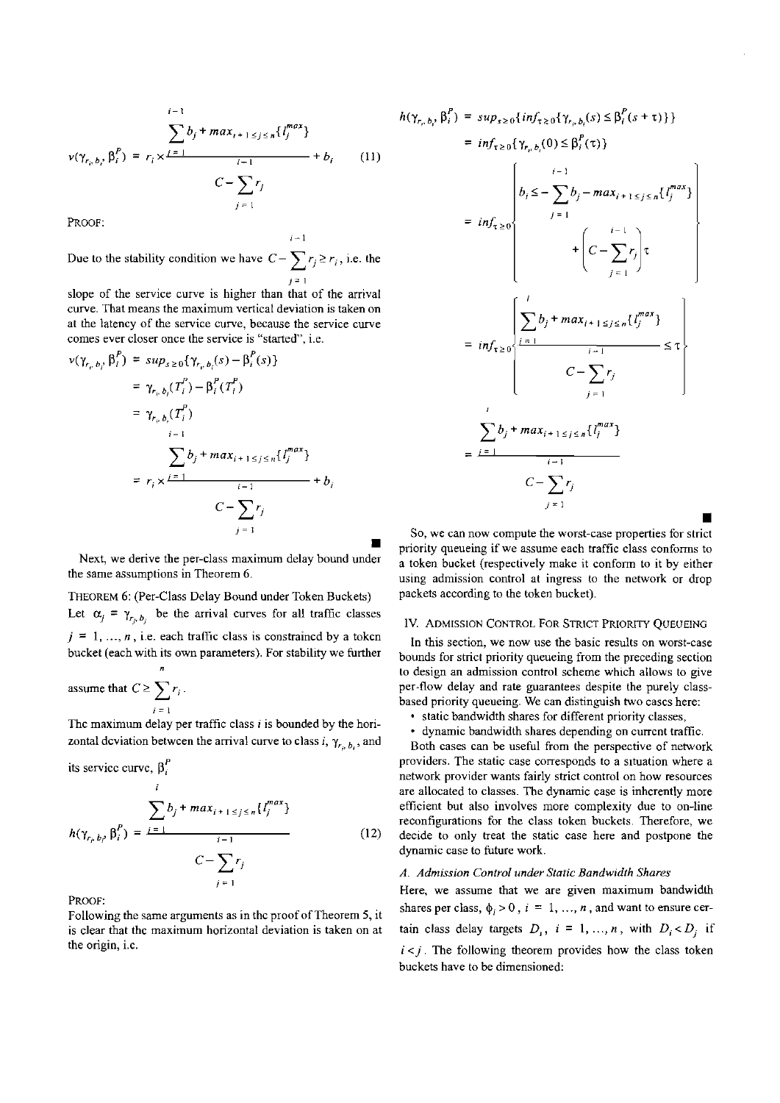$$
v(\gamma_{r_i, b_i}, \beta_i^P) = r_i \times \frac{\sum_{i=1}^{i-1} b_j + max_{i+1 \le j \le n} \{l_j^{max}\}}{C - \sum_{j=1}^{i-1} r_j} + b_i \qquad (11)
$$

PROOF:

Due to the stability condition we have  $C - \sum_{i} r_i \ge r_i$ , i.e. the *J= I* 

i-1

slope of the service curve is higher than that of the arrival curve. That means the maximum vertical deviation is taken on at the latency of the service curve, because the service curve comes ever closer once the service is "started", i.e.

$$
\nu(\gamma_{r_i, b_i}, \beta_i^P) = \sup_{s \ge 0} {\gamma_{r_i, b_i}(s) - \beta_i^P(s)}
$$
  
\n
$$
= \gamma_{r_i, b_i}(T_i^P) - \beta_i^P(T_i^P)
$$
  
\n
$$
= \gamma_{r_i, b_i}(T_i^P)
$$
  
\n
$$
= \sum_{i=1}^{i-1} b_j + \max_{i+1 \le j \le n} {l_j^{max}}
$$
  
\n
$$
= r_i \times \frac{i-1}{i-1} + b_i
$$
  
\n
$$
C - \sum_{j=1}^{i} r_j
$$

Next, we derive the per-class maximum delay bound under the same assumptions in Theorem 6.

THEOREM 6: (Per-Class Delay Bound under Token Buckets) Let  $\alpha_j = \gamma_{r_i, b_j}$  be the arrival curves for all traffic classes  $j = 1, ..., n$ , i.e. each traffic class is constrained by a token bucket (each with its own parameters). For stability we further

assume that 
$$
C \ge \sum_{i=1}^{n} r_i
$$
.

Thc maximum delay per traffic class **i** is bounded by the horizontal deviation between the arrival curve to class i,  $\gamma_{r_b, b}$ , and

its service curve, 
$$
\beta_i^P
$$
  
\n
$$
\sum_{i} b_j + max_{i+1 \le j \le n} \{l_j^{max}\}
$$
\n
$$
h(\gamma_{r_p, b_i}, \beta_i^P) = \frac{i-1}{\sum_{j=1}^{i-1} r_j}
$$
\n(12)

PROOF:

Following the same arguments as in the proof of Theorem 5, it is clear that thc maxiinum horizontal deviation is taken on at the origin, i.c.

$$
h(\gamma_{r_i, b_i}, \beta_i^P) = sup_{s \ge 0} \{ inf_{\tau \ge 0} \{ \gamma_{r_i, b_i}(s) \le \beta_i^P(s + \tau) \} \}
$$
  
\n
$$
= inf_{\tau \ge 0} \{ \gamma_{r_i, b_i}(0) \le \beta_i^P(\tau) \}
$$
  
\n
$$
= inf_{\tau \ge 0} \left\{ b_i \le - \sum_{j=1}^{i-1} b_j - max_{i+1 \le j \le n} \{ l_j^{max} \} \right\}
$$
  
\n
$$
+ \left( C - \sum_{j=1}^{i-1} r_j \right) \tau
$$
  
\n
$$
= inf_{\tau \ge 0} \left\{ \frac{\sum_{j=1}^{i} b_j + max_{i+1 \le j \le n} \{ l_j^{max} \} \{ \sum_{j=1}^{i-1} c_j - \sum_{j=1}^{i-1} r_j \} \{ \sum_{j=1}^{i-1} c_j - \sum_{j=1}^{i-1} r_j \} \right\}
$$
  
\n
$$
= \frac{\sum_{j=1}^{i} b_j + max_{i+1 \le j \le n} \{ l_j^{max} \} \{ \sum_{j=1}^{i-1} c_j - \sum_{j=1}^{i-1} r_j \} \{ \sum_{j=1}^{i-1} c_j - \sum_{j=1}^{i-1} r_j \} \{ \sum_{j=1}^{i-1} c_j - \sum_{j=1}^{i-1} r_j \} \{ \sum_{j=1}^{i-1} c_j - \sum_{j=1}^{i-1} r_j \} \{ \sum_{j=1}^{i-1} c_j - \sum_{j=1}^{i-1} c_j \} \{ \sum_{j=1}^{i-1} c_j - \sum_{j=1}^{i-1} c_j \} \{ \sum_{j=1}^{i-1} c_j - \sum_{j=1}^{i-1} c_j \} \{ \sum_{j=1}^{i-1} c_j - \sum_{j=1}^{i-1} c_j \} \{ \sum_{j=1}^{i-1} c_j - \sum_{j=1}^{i-1} c_j \} \{ \sum_{j=1}^{i-1} c_j - \sum_{j=1}^{i-1} c_j \} \{ \sum_{j=1}^{i-1} c_j - \sum_{j=1}^{i-1} c_j \
$$

So, we can now compute the worst-case propetties for strict priority queueing if we assume each traffic class conforms to a token bucket (respectively make it conform to it by either using admission control at ingress to the network or drop packets according to the token bucket).

# IV. ADMISSION CONTROL FOR STRICT PRIORITY QUEUEING

In this section, we now use the basic results on worst-case bounds for strict priority queueing from the preceding section to design an admission control scheme which allows to give per-flow delay and rate guarantees despite the purely classbased priority queueing. We can distinguish two cascs here:

- static bandwidth shares for different priority classes,
- dynamic bandwidth shares depending on currcnt traffic.

Both cases can be useful from the perspective of network providers. The static case corresponds to a situation where a network provider wants fairly strict control on how resources are allocated to classes. The dynamic case is inhcrently more efficient but also involves more complexity due to on-line reconfigurations for the class token buckets. Therefore, we decide to only treat the static case here and postpone the dynamic case to future work.

## *A.* Admission Confrol under Static Bandwidth Shares

Here, we assume that we are given maximum bandwidth shares per class,  $\phi_i > 0$ ,  $i = 1, ..., n$ , and want to ensure certain class delay targets  $D_i$ ,  $i = 1, ..., n$ , with  $D_i < D_j$  if  $i < j$ . The following theorem provides how the class token buckets have to be dimensioned: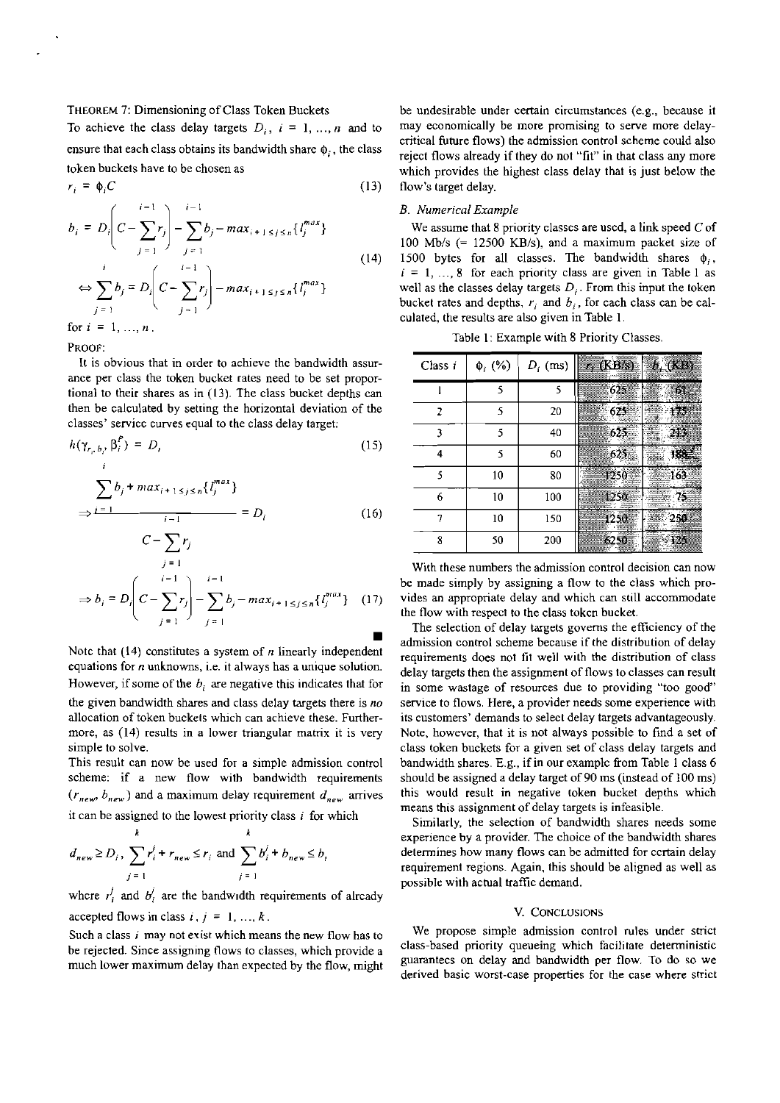THEOREM 7: Dimensioning of Class Token Buckets

To achieve the class delay targets  $D_i$ ,  $i = 1, ..., n$  and to ensure that each class obtains its bandwidth share  $\phi_i$ , the class token buckets have to be chosen as

$$
r_i = \phi_i C \tag{13}
$$

$$
b_i = D_i \Bigg| C - \sum_{j=1} r_j \Bigg| - \sum_{j=1} b_j - max_{i+1 \le j \le n} \{l_j^{max}\}\Bigg|
$$
  
\n
$$
\Leftrightarrow \sum_{j=1}^i b_j = D_i \Bigg| C - \sum_{j=1}^{i-1} r_j \Bigg| - max_{i+1 \le j \le n} \{l_j^{max}\}\Bigg|
$$
  
\nfor  $i = 1, ..., n$ .

PROOF:

It is obvious that in order to achieve the bandwidth assurance per class the token bucket rates need to be set proportional to their shares as in (13). The class bucket depths can then be calculated hy setting the horizontal deviation of the classes' servicc curves equal to the class delay target:

$$
h(\gamma_{r_i, b_i}, \beta_i^P) = D_i \tag{15}
$$

$$
\Rightarrow \frac{\sum_{j=1}^{n} b_j + \max_{i+1 \le j \le n} \{l_j^{max}\}}{l-1} = D_i
$$
 (16)

$$
C - \sum_{j=1}^{n} r_j
$$
  
\n
$$
\Rightarrow b_i = D_i \left( C - \sum_{j=1}^{i-1} r_j \right) - \sum_{j=1}^{i-1} b_j - max_{i+1 \le j \le n} \{ l_j^{max} \} \quad (17)
$$

Note that (14) constitutes a system of **n** linearly independent equations for *n* unknowns, i.e. it always has a unique solution. However, if some of the  $b_i$  are negative this indicates that for the given bandwidth shares and class delay targets there is **no**  allocation of token buckets which can achieve these. Furthermore, as (14) results in a lower triangular matrix it is very simple to solve.

This result can now be used for a simple admission control scheme: if a new flow with bandwidth requirements  $(r_{new}, b_{new})$  and a maximum delay requirement  $d_{new}$  arrives it can be assigned to the lowest priority class  $i$  for which

$$
d_{new} \ge D_i, \sum_{j=1}^k r_i^j + r_{new} \le r_i \text{ and } \sum_{j=1}^k b_i^j + b_{new} \le b_i
$$

where  $I_i'$  and  $b_i'$  are the bandwidth requirements of already

accepted flows in class  $i, j = 1, ..., k$ .

Such a class **i** may not exist which means the new flow has to he rejected. Since assigning flows to classes, which provide a much lower maximum delay ihan expected by the flow, might

be undesirable under certain circumstances (e.g., because it may economically be more promising to serve more delaycritical future flows) the admission control scheme could also reject flows already if they do not "fit" in that class any more which provides the highest class delay that is just below the flow's target delay.

## *B. Numerical Example*

We assume that 8 priority classes are used, a link speed  $C$  of 100 Mb/s  $(= 12500 \text{ KB/s})$ , and a maximum packet size of 1500 bytes for all classes. The bandwidth shares  $\phi_i$ ,  $i = 1, ..., 8$  for each priority class are given in Table 1 as well as the classes delay targets  $D_i$ . From this input the token bucket rates and depths,  $r_i$  and  $b_i$ , for cach class can be calculated, the results are also given in Table **1** 

Table I: Example with 8 Priority Classes.

| Class i | $\Phi_i$ (%) | $D_i$ (ms) | r, $(KB/s)$ = $b_i$ $(KB)$ |
|---------|--------------|------------|----------------------------|
|         | 5            | 5          | $\frac{1}{2}625$<br>61     |
| 2       | ۲            | 20         | 175<br>625                 |
| 3       | ٢            | 40         | 213<br>-625                |
| 4       | ٢            | 60         | -625                       |
| ٢       | 10           | 80         | 1250                       |
| 6       | 10           | 100        | 1250                       |
|         | 10           | 150        | 1250<br>冯商                 |
| 8       | 50           | 200        | 6250                       |

With these numhers the admission control decision can now be made simply by assigning a flow to the class which provides an appropriate delay and which can still accommodate the flow with respect to the class tokcn bucket.

The selection of delay targets governs the efficiency of the admission control scheme because if the distribution of delay requirements does not fit well with the distribution of class delay targets then the assignment of flows toclasses can result in some wastage of resources due to providing "too good" service to flows. Here, a provider needs some experience with its customers' demands to select delay targets advantageously. Note, however, that it is not always possihle to find a set of class token buckets for a given set of class delay targets and bandwidth shares. E.g., if in our example from Table 1 class 6 should he assigned a delay target of 90 ms (instead of 100 ms) this would result in negative token hucket depths which means this assignment of delay targets is infeasible.

Similarly, the selection of bandwidth shares needs some experience by a provider. The choice of the bandwidth shares determines how many flows can be admitted for certain delay requirement regions. Again. this should be aligned as well as possible with actual traffic demand.

## V. CONCLUSIONS

We propose simple admission control rules under strict class-based priority queueing which facilitare deterministic guarantecs on delay and bandwidth per flow To do so we derived hasic worst-case properties for the case where strict